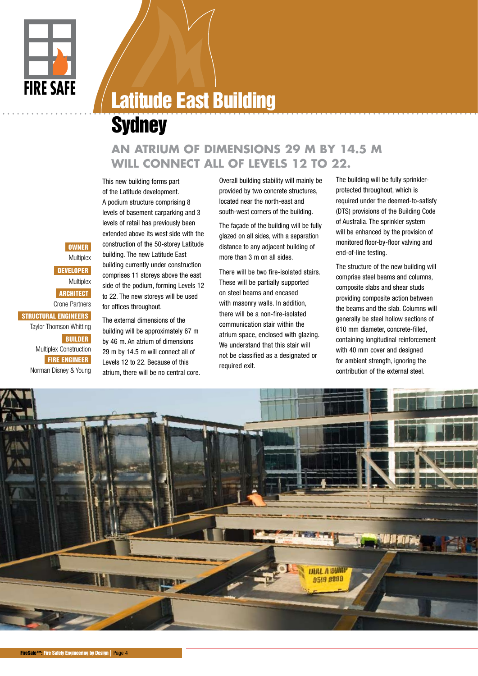

**OWNER Multiplex** DEVELOPER **Multiplex ARCHITECT** Crone Partners

BUILDER

STRUCTURAL ENGINEERS Taylor Thomson Whitting

> Multiplex Construction FIRE ENGINEER Norman Disney & Young

## Latitude East Building

## **Sydney**

## **AN ATRIUM OF DIMENSIONS 29 M BY 14.5 M WILL CONNECT ALL OF LEVELS 12 TO 22.**

This new building forms part of the Latitude development. A podium structure comprising 8 levels of basement carparking and 3 levels of retail has previously been extended above its west side with the construction of the 50-storey Latitude building. The new Latitude East building currently under construction comprises 11 storeys above the east side of the podium, forming Levels 12 to 22. The new storeys will be used for offices throughout.

The external dimensions of the building will be approximately 67 m by 46 m. An atrium of dimensions 29 m by 14.5 m will connect all of Levels 12 to 22. Because of this atrium, there will be no central core.

Overall building stability will mainly be provided by two concrete structures, located near the north-east and south-west corners of the building.

The façade of the building will be fully glazed on all sides, with a separation distance to any adjacent building of more than 3 m on all sides.

There will be two fire-isolated stairs. These will be partially supported on steel beams and encased with masonry walls. In addition, there will be a non-fire-isolated communication stair within the atrium space, enclosed with glazing. We understand that this stair will not be classified as a designated or required exit.

The building will be fully sprinklerprotected throughout, which is required under the deemed-to-satisfy (DTS) provisions of the Building Code of Australia. The sprinkler system will be enhanced by the provision of monitored floor-by-floor valving and end-of-line testing.

The structure of the new building will comprise steel beams and columns, composite slabs and shear studs providing composite action between the beams and the slab. Columns will generally be steel hollow sections of 610 mm diameter, concrete-filled, containing longitudinal reinforcement with 40 mm cover and designed for ambient strength, ignoring the contribution of the external steel.